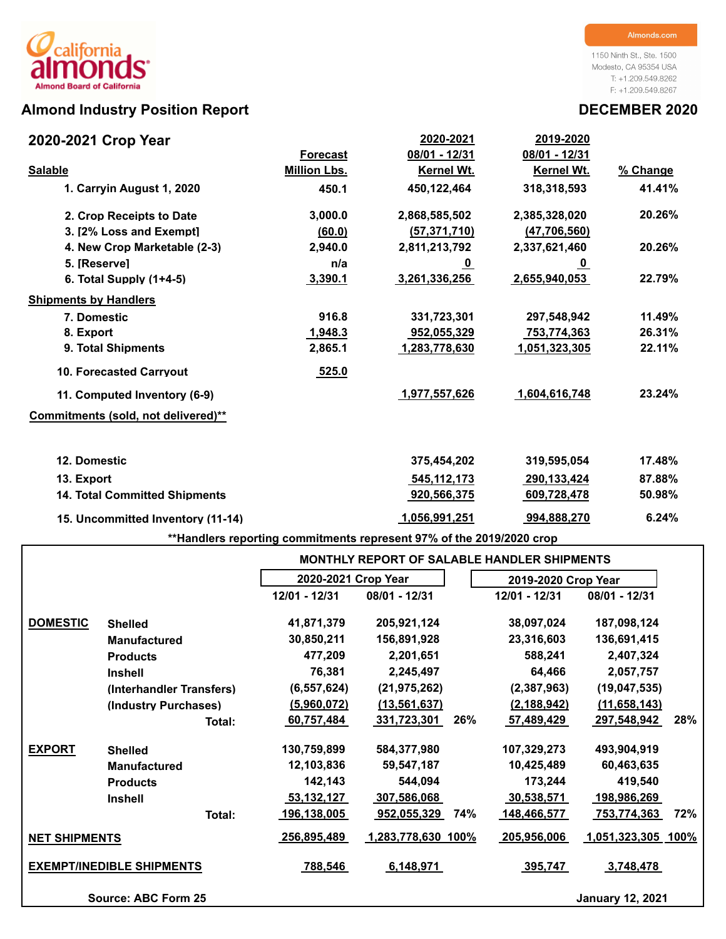# **Almond Industry Position Report DECEMBER 2020**

1150 Ninth St., Ste. 1500 Modesto, CA 95354 USA T: +1.209.549.8262 F: +1.209.549.8267

| 2020-2021 Crop Year                  |                     | 2020-2021      | 2019-2020         |          |
|--------------------------------------|---------------------|----------------|-------------------|----------|
|                                      | <b>Forecast</b>     | 08/01 - 12/31  | 08/01 - 12/31     |          |
| <b>Salable</b>                       | <b>Million Lbs.</b> | Kernel Wt.     | <b>Kernel Wt.</b> | % Change |
| 1. Carryin August 1, 2020            | 450.1               | 450,122,464    | 318,318,593       | 41.41%   |
| 2. Crop Receipts to Date             | 3,000.0             | 2,868,585,502  | 2,385,328,020     | 20.26%   |
| 3. I2% Loss and Exempt1              | (60.0)              | (57, 371, 710) | (47, 706, 560)    |          |
| 4. New Crop Marketable (2-3)         | 2,940.0             | 2,811,213,792  | 2,337,621,460     | 20.26%   |
| 5. [Reserve]                         | n/a                 | <u>_0</u>      | <u>_0</u>         |          |
| 6. Total Supply $(1+4-5)$            | 3,390.1             | 3,261,336,256  | 2,655,940,053     | 22.79%   |
| <b>Shipments by Handlers</b>         |                     |                |                   |          |
| 7. Domestic                          | 916.8               | 331,723,301    | 297,548,942       | 11.49%   |
| 8. Export                            | 1,948.3             | 952,055,329    | 753,774,363       | 26.31%   |
| 9. Total Shipments                   | 2,865.1             | 1,283,778,630  | 1,051,323,305     | 22.11%   |
| <b>10. Forecasted Carryout</b>       | 525.0               |                |                   |          |
| 11. Computed Inventory (6-9)         |                     | 1,977,557,626  | 1,604,616,748     | 23.24%   |
| Commitments (sold, not delivered)**  |                     |                |                   |          |
| 12. Domestic                         |                     | 375,454,202    | 319,595,054       | 17.48%   |
| 13. Export                           |                     | 545,112,173    | 290, 133, 424     | 87.88%   |
| <b>14. Total Committed Shipments</b> |                     | 920,566,375    | 609,728,478       | 50.98%   |
| 15. Uncommitted Inventory (11-14)    |                     | 1,056,991,251  | 994,888,270       | 6.24%    |

**\*\*Handlers reporting commitments represent 97% of the 2019/2020 crop**

|                      |                                  |                     | <b>MONTHLY REPORT OF SALABLE HANDLER SHIPMENTS</b> |                     |                           |
|----------------------|----------------------------------|---------------------|----------------------------------------------------|---------------------|---------------------------|
|                      |                                  | 2020-2021 Crop Year |                                                    | 2019-2020 Crop Year |                           |
|                      |                                  | 12/01 - 12/31       | 08/01 - 12/31                                      | 12/01 - 12/31       | 08/01 - 12/31             |
| <b>DOMESTIC</b>      | <b>Shelled</b>                   | 41,871,379          | 205,921,124                                        | 38,097,024          | 187,098,124               |
|                      | <b>Manufactured</b>              | 30,850,211          | 156,891,928                                        | 23,316,603          | 136,691,415               |
|                      | <b>Products</b>                  | 477,209             | 2,201,651                                          | 588,241             | 2,407,324                 |
|                      | <b>Inshell</b>                   | 76,381              | 2,245,497                                          | 64,466              | 2,057,757                 |
|                      | (Interhandler Transfers)         | (6, 557, 624)       | (21, 975, 262)                                     | (2,387,963)         | (19,047,535)              |
|                      | (Industry Purchases)             | (5,960,072)         | (13, 561, 637)                                     | (2, 188, 942)       | (11, 658, 143)            |
|                      | Total:                           | 60,757,484          | 331,723,301                                        | 26%<br>57,489,429   | 28%<br>297,548,942        |
| <b>EXPORT</b>        | <b>Shelled</b>                   | 130,759,899         | 584,377,980                                        | 107,329,273         | 493,904,919               |
|                      | <b>Manufactured</b>              | 12,103,836          | 59,547,187                                         | 10,425,489          | 60,463,635                |
|                      | <b>Products</b>                  | 142,143             | 544,094                                            | 173,244             | 419,540                   |
|                      | <b>Inshell</b>                   | 53,132,127          | 307,586,068                                        | 30,538,571          | 198,986,269               |
|                      | Total:                           | 196,138,005         | 952,055,329                                        | 74%<br>148,466,577  | 72%<br><u>753,774,363</u> |
| <b>NET SHIPMENTS</b> |                                  | 256,895,489         | 1,283,778,630 100%                                 | 205,956,006         | 1,051,323,305 100%        |
|                      | <b>EXEMPT/INEDIBLE SHIPMENTS</b> | 788,546             | 6,148,971                                          | 395,747             | 3,748,478                 |
|                      | Source: ABC Form 25              |                     |                                                    |                     | <b>January 12, 2021</b>   |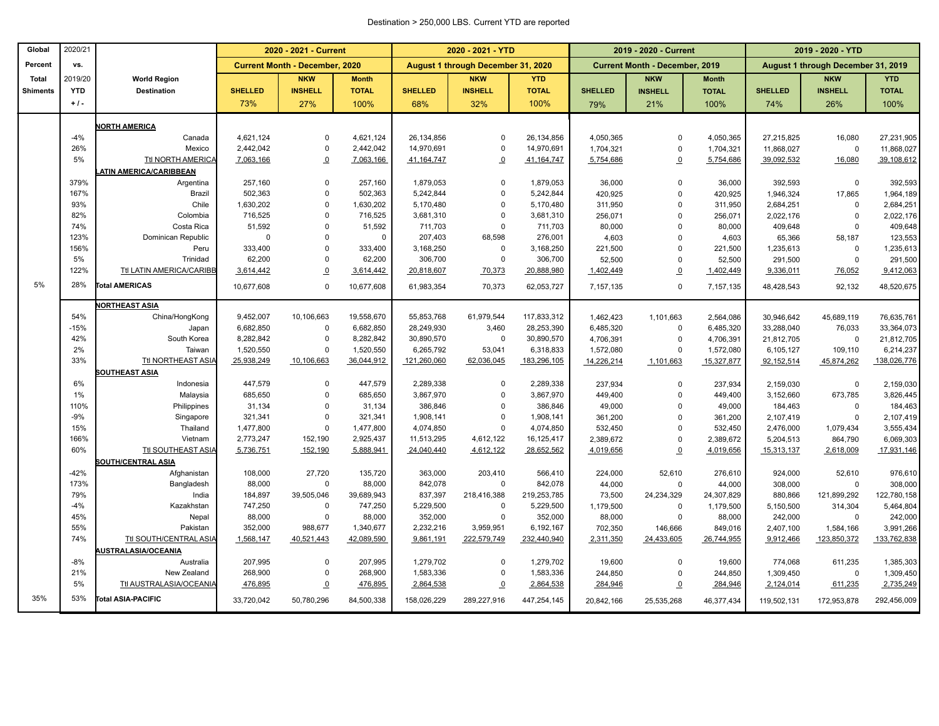#### Destination > 250,000 LBS. Current YTD are reported

| Global          | 2020/21    |                                |                        | 2020 - 2021 - Current                 |                         |                          | 2020 - 2021 - YTD                  |                           |                        | 2019 - 2020 - Current                 |                        |                          | 2019 - 2020 - YTD                  |                          |
|-----------------|------------|--------------------------------|------------------------|---------------------------------------|-------------------------|--------------------------|------------------------------------|---------------------------|------------------------|---------------------------------------|------------------------|--------------------------|------------------------------------|--------------------------|
| Percent         | vs.        |                                |                        | <b>Current Month - December, 2020</b> |                         |                          | August 1 through December 31, 2020 |                           |                        | <b>Current Month - December, 2019</b> |                        |                          | August 1 through December 31, 2019 |                          |
| <b>Total</b>    | 2019/20    | <b>World Region</b>            |                        | <b>NKW</b>                            | <b>Month</b>            |                          | <b>NKW</b>                         | <b>YTD</b>                |                        | <b>NKW</b>                            | <b>Month</b>           |                          | <b>NKW</b>                         | <b>YTD</b>               |
| <b>Shiments</b> | <b>YTD</b> | <b>Destination</b>             | <b>SHELLED</b>         | <b>INSHELL</b>                        | <b>TOTAL</b>            | <b>SHELLED</b>           | <b>INSHELL</b>                     | <b>TOTAL</b>              | <b>SHELLED</b>         | <b>INSHELL</b>                        | <b>TOTAL</b>           | <b>SHELLED</b>           | <b>INSHELL</b>                     | <b>TOTAL</b>             |
|                 | $+1$ .     |                                | 73%                    | 27%                                   | 100%                    | 68%                      | 32%                                | 100%                      | 79%                    | 21%                                   | 100%                   | 74%                      | 26%                                | 100%                     |
|                 |            |                                |                        |                                       |                         |                          |                                    |                           |                        |                                       |                        |                          |                                    |                          |
|                 | $-4%$      | <b>VORTH AMERICA</b><br>Canada | 4,621,124              | $\mathbf 0$                           | 4,621,124               | 26,134,856               | $\Omega$                           | 26,134,856                | 4,050,365              | $\mathbf 0$                           | 4,050,365              | 27,215,825               | 16,080                             | 27,231,905               |
|                 | 26%        | Mexico                         | 2,442,042              | $\mathbf 0$                           | 2,442,042               | 14,970,691               | $\Omega$                           | 14,970,691                | 1,704,321              | $\mathbf 0$                           | 1,704,321              | 11,868,027               | $\mathbf 0$                        | 11,868,027               |
|                 | 5%         | Ttl NORTH AMERICA              | 7,063,166              | $\overline{0}$                        | 7,063,166               | 41, 164, 747             | $\overline{0}$                     | 41, 164, 747              | 5,754,686              | $\Omega$                              | 5,754,686              | 39,092,532               | 16,080                             | 39,108,612               |
|                 |            | ATIN AMERICA/CARIBBEAN         |                        |                                       |                         |                          |                                    |                           |                        |                                       |                        |                          |                                    |                          |
|                 | 379%       | Argentina                      | 257,160                | $\mathbf 0$                           | 257,160                 | 1,879,053                | $\Omega$                           | 1,879,053                 | 36,000                 | $\mathbf 0$                           | 36,000                 | 392,593                  | $\mathbf 0$                        | 392,593                  |
|                 | 167%       | <b>Brazil</b>                  | 502,363                | $\Omega$                              | 502,363                 | 5,242,844                | $\Omega$                           | 5,242,844                 | 420,925                | $\Omega$                              | 420,925                | 1,946,324                | 17,865                             | 1,964,189                |
|                 | 93%        | Chile                          | 1,630,202              | $\overline{0}$                        | 1,630,202               | 5,170,480                | $\Omega$                           | 5,170,480                 | 311,950                | $\mathbf 0$                           | 311,950                | 2,684,251                | $\mathbf 0$                        | 2,684,251                |
|                 | 82%        | Colombia                       | 716,525                | $\mathbf 0$                           | 716,525                 | 3,681,310                | $\Omega$                           | 3,681,310                 | 256,071                | $\Omega$                              | 256,071                | 2,022,176                | $\mathbf 0$                        | 2,022,176                |
|                 | 74%        | Costa Rica                     | 51,592                 | $\mathbf 0$                           | 51,592                  | 711,703                  | $\mathbf 0$                        | 711,703                   | 80,000                 | $\Omega$                              | 80,000                 | 409,648                  | $\mathbf 0$                        | 409,648                  |
|                 | 123%       | Dominican Republic             | $\Omega$               | $\Omega$                              | $\mathsf 0$             | 207,403                  | 68,598                             | 276,001                   | 4,603                  | $\mathbf 0$                           | 4,603                  | 65,366                   | 58,187                             | 123,553                  |
|                 | 156%       | Peru                           | 333,400                | $\mathbf 0$                           | 333,400                 | 3,168,250                | $\mathbf 0$                        | 3,168,250                 | 221,500                | $\mathbf 0$                           | 221,500                | 1,235,613                | $\mathbf 0$                        | 1,235,613                |
|                 | 5%         | Trinidad                       | 62,200                 | $\Omega$                              | 62,200                  | 306,700                  | $\Omega$                           | 306,700                   | 52,500                 | $\mathbf 0$                           | 52,500                 | 291,500                  | $\mathbf 0$                        | 291,500                  |
|                 | 122%       | Ttl LATIN AMERICA/CARIBB       | 3,614,442              | $\overline{0}$                        | 3,614,442               | 20,818,607               | 70,373                             | 20,888,980                | 1,402,449              | $\overline{0}$                        | 1,402,449              | 9,336,011                | 76,052                             | 9,412,063                |
| 5%              | 28%        | <b>Total AMERICAS</b>          | 10,677,608             | $\mathbf 0$                           | 10,677,608              | 61,983,354               | 70,373                             | 62,053,727                | 7,157,135              | $\mathbf 0$                           | 7,157,135              | 48,428,543               | 92,132                             | 48,520,675               |
|                 |            |                                |                        |                                       |                         |                          |                                    |                           |                        |                                       |                        |                          |                                    |                          |
|                 | 54%        | <b>NORTHEAST ASIA</b>          |                        |                                       |                         |                          |                                    |                           |                        |                                       |                        |                          |                                    |                          |
|                 | $-15%$     | China/HongKong                 | 9,452,007<br>6,682,850 | 10,106,663<br>$\mathbf 0$             | 19,558,670<br>6,682,850 | 55,853,768<br>28,249,930 | 61,979,544<br>3,460                | 117,833,312<br>28,253,390 | 1,462,423              | 1,101,663<br>$\mathbf 0$              | 2,564,086              | 30,946,642               | 45,689,119                         | 76,635,761               |
|                 | 42%        | Japan<br>South Korea           | 8,282,842              | $\mathbf 0$                           | 8,282,842               | 30,890,570               | $\mathsf 0$                        | 30,890,570                | 6,485,320<br>4,706,391 | $\mathbf 0$                           | 6,485,320<br>4,706,391 | 33,288,040<br>21,812,705 | 76,033<br>$\mathbf 0$              | 33,364,073<br>21,812,705 |
|                 | 2%         | Taiwan                         | 1,520,550              | $\Omega$                              | 1,520,550               | 6,265,792                | 53,041                             | 6,318,833                 | 1,572,080              | $\Omega$                              | 1,572,080              | 6,105,127                | 109,110                            | 6,214,237                |
|                 | 33%        | Ttl NORTHEAST ASIA             | 25,938,249             | 10,106,663                            | 36,044,912              | 121,260,060              | 62,036,045                         | 183,296,105               | 14,226,214             | 1,101,663                             | 15,327,877             | 92,152,514               | 45,874,262                         | 138,026,776              |
|                 |            | SOUTHEAST ASIA                 |                        |                                       |                         |                          |                                    |                           |                        |                                       |                        |                          |                                    |                          |
|                 | 6%         | Indonesia                      | 447,579                | $\mathbf 0$                           | 447,579                 | 2,289,338                | $\mathbf 0$                        | 2,289,338                 | 237,934                | $\mathbf 0$                           | 237,934                | 2,159,030                | 0                                  | 2,159,030                |
|                 | 1%         | Malaysia                       | 685,650                | $\mathbf 0$                           | 685,650                 | 3,867,970                | $\Omega$                           | 3,867,970                 | 449,400                | $\mathbf 0$                           | 449,400                | 3,152,660                | 673,785                            | 3,826,445                |
|                 | 110%       | Philippines                    | 31,134                 | $\mathbf 0$                           | 31,134                  | 386,846                  | $\Omega$                           | 386,846                   | 49,000                 | $\Omega$                              | 49,000                 | 184,463                  | $\mathbf 0$                        | 184,463                  |
|                 | $-9%$      | Singapore                      | 321,341                | $\mathbf 0$                           | 321,341                 | 1,908,141                | $\Omega$                           | 1,908,141                 | 361,200                | $\Omega$                              | 361,200                | 2,107,419                | $\Omega$                           | 2,107,419                |
|                 | 15%        | Thailand                       | 1,477,800              | $\mathbf 0$                           | 1,477,800               | 4,074,850                | $\Omega$                           | 4,074,850                 | 532,450                | $\mathbf 0$                           | 532,450                | 2,476,000                | 1,079,434                          | 3,555,434                |
|                 | 166%       | Vietnam                        | 2,773,247              | 152,190                               | 2,925,437               | 11,513,295               | 4,612,122                          | 16,125,417                | 2,389,672              | $\mathbf 0$                           | 2,389,672              | 5,204,513                | 864,790                            | 6,069,303                |
|                 | 60%        | Ttl SOUTHEAST ASIA             | 5,736,751              | 152,190                               | 5,888,941               | 24,040,440               | 4,612,122                          | 28,652,562                | 4,019,656              | $\Omega$                              | 4,019,656              | 15,313,137               | 2,618,009                          | 17,931,146               |
|                 |            | <b>SOUTH/CENTRAL ASIA</b>      |                        |                                       |                         |                          |                                    |                           |                        |                                       |                        |                          |                                    |                          |
|                 | $-42%$     | Afghanistan                    | 108,000                | 27,720                                | 135,720                 | 363,000                  | 203,410                            | 566,410                   | 224,000                | 52,610                                | 276,610                | 924,000                  | 52,610                             | 976,610                  |
|                 | 173%       | Bangladesh                     | 88,000                 | $\mathbf 0$                           | 88,000                  | 842,078                  | $\mathbf 0$                        | 842,078                   | 44,000                 | $\mathbf 0$                           | 44,000                 | 308,000                  | $\mathbf 0$                        | 308,000                  |
|                 | 79%        | India                          | 184,897                | 39,505,046                            | 39,689,943              | 837,397                  | 218,416,388                        | 219,253,785               | 73,500                 | 24,234,329                            | 24,307,829             | 880,866                  | 121,899,292                        | 122,780,158              |
|                 | $-4%$      | Kazakhstan                     | 747,250                | $\mathbf 0$                           | 747,250                 | 5,229,500                | $\mathbf 0$                        | 5,229,500                 | 1,179,500              | $\mathbf 0$                           | 1,179,500              | 5,150,500                | 314,304                            | 5,464,804                |
|                 | 45%        | Nepal                          | 88,000                 | $\mathbf 0$                           | 88,000                  | 352,000                  | $\Omega$                           | 352,000                   | 88,000                 | $\Omega$                              | 88,000                 | 242,000                  | $\overline{0}$                     | 242,000                  |
|                 | 55%        | Pakistan                       | 352,000                | 988,677                               | 1,340,677               | 2,232,216                | 3,959,951                          | 6,192,167                 | 702,350                | 146,666                               | 849,016                | 2,407,100                | 1,584,166                          | 3,991,266                |
|                 | 74%        | Ttl SOUTH/CENTRAL ASIA         | 1,568,147              | 40,521,443                            | 42,089,590              | 9,861,191                | 222,579,749                        | 232,440,940               | 2,311,350              | 24,433,605                            | 26,744,955             | 9,912,466                | 123,850,372                        | 133,762,838              |
|                 |            | <b>AUSTRALASIA/OCEANIA</b>     |                        |                                       |                         |                          |                                    |                           |                        |                                       |                        |                          |                                    |                          |
|                 | $-8%$      | Australia                      | 207,995                | $\mathbf 0$                           | 207,995                 | 1,279,702                | $\Omega$                           | 1,279,702                 | 19,600                 | $\mathbf 0$                           | 19,600                 | 774,068                  | 611,235                            | 1,385,303                |
|                 | 21%        | New Zealand                    | 268,900                | $\mathbf 0$                           | 268,900                 | 1,583,336                | $\mathbf 0$                        | 1,583,336                 | 244,850                | $\mathbf 0$                           | 244,850                | 1,309,450                | $\mathbf 0$                        | 1,309,450                |
|                 | 5%         | Ttl AUSTRALASIA/OCEANIA        | 476,895                | $\Omega$                              | 476,895                 | 2,864,538                | $\Omega$                           | 2,864,538                 | 284,946                | $\overline{0}$                        | 284,946                | 2,124,014                | 611,235                            | 2,735,249                |
| 35%             | 53%        | <b>Total ASIA-PACIFIC</b>      | 33,720,042             | 50,780,296                            | 84,500,338              | 158,026,229              | 289,227,916                        | 447,254,145               | 20,842,166             | 25,535,268                            | 46,377,434             | 119,502,131              | 172,953,878                        | 292,456,009              |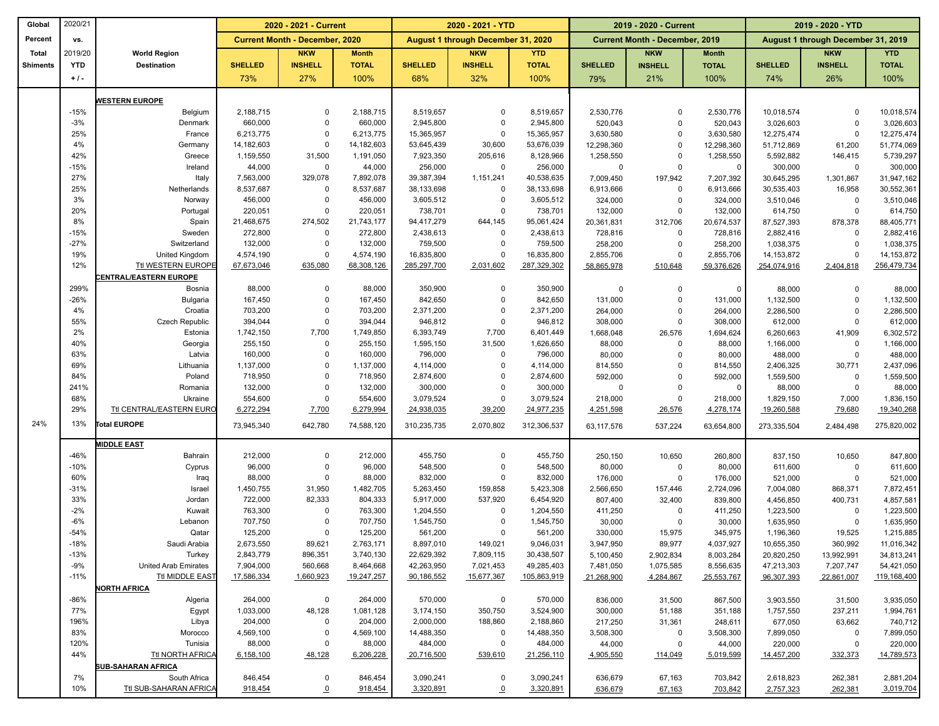| Global          | 2020/21         |                               |                      | 2020 - 2021 - Current                 |                      |                         | 2020 - 2021 - YTD                  |                         |                      | 2019 - 2020 - Current                 |                      |                           | 2019 - 2020 - YTD                  |                           |
|-----------------|-----------------|-------------------------------|----------------------|---------------------------------------|----------------------|-------------------------|------------------------------------|-------------------------|----------------------|---------------------------------------|----------------------|---------------------------|------------------------------------|---------------------------|
| Percent         | VS.             |                               |                      | <b>Current Month - December, 2020</b> |                      |                         | August 1 through December 31, 2020 |                         |                      | <b>Current Month - December, 2019</b> |                      |                           | August 1 through December 31, 2019 |                           |
| <b>Total</b>    | 2019/20         | <b>World Region</b>           |                      | <b>NKW</b>                            | <b>Month</b>         |                         | <b>NKW</b>                         | <b>YTD</b>              |                      | <b>NKW</b>                            | <b>Month</b>         |                           | <b>NKW</b>                         | <b>YTD</b>                |
| <b>Shiments</b> | <b>YTD</b>      | <b>Destination</b>            | <b>SHELLED</b>       | <b>INSHELL</b>                        | <b>TOTAL</b>         | <b>SHELLED</b>          | <b>INSHELL</b>                     | <b>TOTAL</b>            | <b>SHELLED</b>       | <b>INSHELL</b>                        | <b>TOTAL</b>         | <b>SHELLED</b>            | <b>INSHELL</b>                     | <b>TOTAL</b>              |
|                 | $+1$ .          |                               | 73%                  | 27%                                   | 100%                 | 68%                     | 32%                                | 100%                    | 79%                  | 21%                                   | 100%                 | 74%                       | 26%                                | 100%                      |
|                 |                 |                               |                      |                                       |                      |                         |                                    |                         |                      |                                       |                      |                           |                                    |                           |
|                 |                 | <b>WESTERN EUROPE</b>         |                      |                                       |                      |                         |                                    |                         |                      |                                       |                      |                           |                                    |                           |
|                 | $-15%$<br>$-3%$ | Belgium                       | 2,188,715            | $\Omega$<br>$\Omega$                  | 2,188,715            | 8,519,657               | 0<br>0                             | 8,519,657               | 2,530,776            | $\Omega$                              | 2,530,776            | 10,018,574                | $\Omega$                           | 10,018,574                |
|                 | 25%             | Denmark<br>France             | 660,000<br>6,213,775 | $\Omega$                              | 660,000<br>6,213,775 | 2,945,800<br>15,365,957 | 0                                  | 2,945,800<br>15,365,957 | 520,043<br>3,630,580 | $\mathbf 0$<br>$\Omega$               | 520,043<br>3,630,580 | 3,026,603<br>12,275,474   | $\Omega$<br>$\Omega$               | 3,026,603<br>12,275,474   |
|                 | 4%              | Germany                       | 14,182,603           | $\mathbf 0$                           | 14,182,603           | 53,645,439              | 30,600                             | 53,676,039              | 12,298,360           | $\mathbf 0$                           | 12,298,360           | 51,712,869                | 61,200                             | 51,774,069                |
|                 | 42%             | Greece                        | 1,159,550            | 31,500                                | 1,191,050            | 7,923,350               | 205,616                            | 8,128,966               | 1,258,550            | $\mathbf 0$                           | 1,258,550            | 5,592,882                 | 146,415                            | 5,739,297                 |
|                 | $-15%$          | Ireland                       | 44,000               | $\mathbf 0$                           | 44,000               | 256,000                 | $\mathbf 0$                        | 256,000                 | $\mathbf 0$          | $\mathbf 0$                           | $\mathbf 0$          | 300,000                   | $\Omega$                           | 300,000                   |
|                 | 27%             | Italy                         | 7,563,000            | 329,078                               | 7,892,078            | 39,387,394              | 1,151,241                          | 40,538,635              | 7,009,450            | 197,942                               | 7,207,392            | 30,645,295                | 1,301,867                          | 31,947,162                |
|                 | 25%             | Netherlands                   | 8,537,687            | $\mathbf 0$                           | 8,537,687            | 38,133,698              | 0                                  | 38,133,698              | 6,913,666            | $\mathbf 0$                           | 6,913,666            | 30,535,403                | 16,958                             | 30,552,361                |
|                 | 3%              | Norway                        | 456,000              | $\mathbf 0$                           | 456,000              | 3,605,512               | $\mathbf 0$                        | 3,605,512               | 324,000              | $\mathbf 0$                           | 324,000              | 3,510,046                 | $\Omega$                           | 3,510,046                 |
|                 | 20%             | Portugal                      | 220,051              | $\mathbf 0$                           | 220,051              | 738,701                 | 0                                  | 738,701                 | 132,000              | $\mathbf 0$                           | 132,000              | 614,750                   | $\Omega$                           | 614,750                   |
|                 | 8%              | Spain                         | 21,468,675           | 274,502                               | 21,743,177           | 94,417,279              | 644,145                            | 95,061,424              | 20,361,831           | 312,706                               | 20,674,537           | 87,527,393                | 878,378                            | 88,405,771                |
|                 | $-15%$          | Sweden                        | 272,800              | $\mathbf 0$<br>$\mathbf 0$            | 272,800              | 2,438,613               | $\mathbf 0$<br>0                   | 2,438,613               | 728,816              | $\mathbf 0$<br>$\Omega$               | 728,816              | 2,882,416                 | $\Omega$                           | 2,882,416                 |
|                 | $-27%$<br>19%   | Switzerland<br>United Kingdom | 132,000<br>4,574,190 | $\Omega$                              | 132,000<br>4,574,190 | 759,500<br>16,835,800   | $\mathbf 0$                        | 759,500<br>16,835,800   | 258,200<br>2,855,706 | $\Omega$                              | 258,200<br>2,855,706 | 1,038,375<br>14, 153, 872 | $\Omega$<br>$\Omega$               | 1,038,375<br>14, 153, 872 |
|                 | 12%             | Ttl WESTERN EUROPE            | 67,673,046           | 635,080                               | 68,308,126           | 285,297,700             | 2,031,602                          | 287,329,302             | 58,865,978           | 510,648                               | 59,376,626           | 254,074,916               | 2,404,818                          | 256,479,734               |
|                 |                 | <b>ENTRAL/EASTERN EUROPE</b>  |                      |                                       |                      |                         |                                    |                         |                      |                                       |                      |                           |                                    |                           |
|                 | 299%            | Bosnia                        | 88,000               | $\mathbf 0$                           | 88,000               | 350,900                 | 0                                  | 350,900                 | 0                    | $\mathbf 0$                           | $\mathbf 0$          | 88,000                    | $\mathbf 0$                        | 88,000                    |
|                 | $-26%$          | <b>Bulgaria</b>               | 167,450              | $\mathbf 0$                           | 167,450              | 842,650                 | $\mathbf 0$                        | 842,650                 | 131,000              | $\mathbf 0$                           | 131,000              | 1,132,500                 | $\Omega$                           | 1,132,500                 |
|                 | 4%              | Croatia                       | 703,200              | $\mathbf 0$                           | 703,200              | 2,371,200               | $\mathbf 0$                        | 2,371,200               | 264,000              | $\mathbf 0$                           | 264,000              | 2,286,500                 | $\Omega$                           | 2,286,500                 |
|                 | 55%             | Czech Republic                | 394,044              | $\mathbf 0$                           | 394,044              | 946,812                 | 0                                  | 946,812                 | 308,000              | $\mathbf 0$                           | 308,000              | 612,000                   | $\Omega$                           | 612,000                   |
|                 | 2%              | Estonia                       | 1,742,150            | 7,700                                 | 1,749,850            | 6,393,749               | 7,700                              | 6,401,449               | 1,668,048            | 26,576                                | 1,694,624            | 6,260,663                 | 41,909                             | 6,302,572                 |
|                 | 40%             | Georgia                       | 255,150              | $\mathbf 0$                           | 255,150              | 1,595,150               | 31,500                             | 1,626,650               | 88,000               | $\Omega$                              | 88,000               | 1,166,000                 | $\mathbf 0$                        | 1,166,000                 |
|                 | 63%             | Latvia                        | 160,000              | $\Omega$                              | 160,000              | 796,000                 | 0                                  | 796,000                 | 80,000               | $\mathbf 0$                           | 80,000               | 488,000                   | $\Omega$                           | 488,000                   |
|                 | 69%             | Lithuania                     | 1,137,000            | $\mathbf 0$                           | 1,137,000            | 4,114,000               | 0                                  | 4,114,000               | 814,550              | $\mathbf 0$                           | 814,550              | 2,406,325                 | 30,771                             | 2,437,096                 |
|                 | 84%             | Poland                        | 718,950              | $\mathbf 0$                           | 718,950              | 2,874,600               | 0                                  | 2,874,600               | 592,000              | $\mathbf 0$                           | 592,000              | 1,559,500                 | $\mathbf 0$                        | 1,559,500                 |
|                 | 241%<br>68%     | Romania<br>Ukraine            | 132,000<br>554,600   | $\mathbf 0$<br>$\mathbf 0$            | 132,000              | 300,000<br>3,079,524    | $\mathbf 0$<br>0                   | 300,000<br>3,079,524    | 0<br>218,000         | $\mathbf 0$<br>$\mathbf 0$            | $^{\circ}$           | 88,000<br>1,829,150       | $\mathbf 0$<br>7,000               | 88,000<br>1,836,150       |
|                 | 29%             | Ttl CENTRAL/EASTERN EURO      | 6,272,294            | 7,700                                 | 554,600<br>6,279,994 | 24,938,035              | 39,200                             | 24,977,235              | 4,251,598            | 26,576                                | 218,000<br>4,278,174 | 19,260,588                | 79,680                             | 19,340,268                |
| 24%             | 13%             | Total EUROPE                  | 73,945,340           |                                       | 74,588,120           | 310,235,735             |                                    | 312,306,537             |                      |                                       |                      |                           |                                    | 275,820,002               |
|                 |                 |                               |                      | 642,780                               |                      |                         | 2,070,802                          |                         | 63,117,576           | 537,224                               | 63,654,800           | 273,335,504               | 2,484,498                          |                           |
|                 |                 | <b>IIDDLE EAST</b>            |                      |                                       |                      |                         |                                    |                         |                      |                                       |                      |                           |                                    |                           |
|                 | $-46%$          | Bahrain                       | 212,000              | $\mathbf 0$                           | 212,000              | 455,750                 | 0                                  | 455,750                 | 250,150              | 10,650                                | 260,800              | 837,150                   | 10,650                             | 847,800                   |
|                 | $-10%$<br>60%   | Cyprus                        | 96,000<br>88,000     | $\mathbf 0$<br>$\mathbf 0$            | 96,000<br>88,000     | 548,500<br>832,000      | 0<br>0                             | 548,500<br>832,000      | 80,000               | $\mathbf 0$                           | 80,000               | 611,600                   | $\Omega$<br>$\mathbf 0$            | 611,600                   |
|                 | $-31%$          | Iraq<br>Israel                | 1,450,755            | 31,950                                | 1,482,705            | 5,263,450               | 159,858                            | 5,423,308               | 176,000<br>2,566,650 | $\mathbf 0$<br>157,446                | 176,000<br>2,724,096 | 521,000<br>7,004,080      |                                    | 521,000<br>7,872,451      |
|                 | 33%             | Jordan                        | 722,000              | 82,333                                | 804,333              | 5,917,000               | 537,920                            | 6,454,920               | 807,400              | 32,400                                | 839,800              | 4,456,850                 | 868,371<br>400,731                 | 4,857,581                 |
|                 | $-2%$           | Kuwait                        | 763,300              | $\mathbf 0$                           | 763,300              | 1,204,550               | $\mathbf 0$                        | 1,204,550               | 411,250              | $\mathbf 0$                           | 411,250              | 1,223,500                 | $\Omega$                           | 1,223,500                 |
|                 | $-6%$           | Lebanon                       | 707,750              | $\Omega$                              | 707,750              | 1,545,750               | 0                                  | 1,545,750               | 30,000               | 0                                     | 30,000               | 1,635,950                 | $\mathbf 0$                        | 1,635,950                 |
|                 | $-54%$          | Qatar                         | 125,200              | $\Omega$                              | 125,200              | 561,200                 | 0                                  | 561,200                 | 330,000              | 15,975                                | 345,975              | 1,196,360                 | 19,525                             | 1,215,885                 |
|                 | $-18%$          | Saudi Arabia                  | 2,673,550            | 89,621                                | 2,763,171            | 8,897,010               | 149,021                            | 9,046,031               | 3,947,950            | 89,977                                | 4,037,927            | 10,655,350                | 360,992                            | 11,016,342                |
|                 | $-13%$          | Turkey                        | 2,843,779            | 896,351                               | 3,740,130            | 22,629,392              | 7,809,115                          | 30,438,507              | 5,100,450            | 2,902,834                             | 8,003,284            | 20,820,250                | 13,992,991                         | 34,813,241                |
|                 | $-9%$           | United Arab Emirates          | 7,904,000            | 560,668                               | 8,464,668            | 42,263,950              | 7,021,453                          | 49,285,403              | 7,481,050            | 1,075,585                             | 8,556,635            | 47,213,303                | 7,207,747                          | 54,421,050                |
|                 | $-11%$          | Ttl MIDDLE EAST               | 17,586,334           | 1,660,923                             | 19,247,257           | 90,186,552              | 15,677,367                         | 105,863,919             | 21,268,900           | 4,284,867                             | 25,553,767           | 96,307,393                | 22,861,007                         | 119,168,400               |
|                 |                 | NORTH AFRICA                  |                      |                                       |                      |                         |                                    |                         |                      |                                       |                      |                           |                                    |                           |
|                 | $-86%$<br>77%   | Algeria                       | 264,000<br>1,033,000 | 0<br>48,128                           | 264,000<br>1,081,128 | 570,000<br>3,174,150    | $\mathbf 0$<br>350,750             | 570,000<br>3,524,900    | 836,000              | 31,500                                | 867,500              | 3,903,550                 | 31,500                             | 3,935,050                 |
|                 | 196%            | Egypt<br>Libya                | 204,000              | $\mathbf 0$                           | 204,000              | 2,000,000               | 188,860                            | 2,188,860               | 300,000<br>217,250   | 51,188<br>31,361                      | 351,188<br>248,611   | 1,757,550<br>677,050      | 237,211<br>63,662                  | 1,994,761<br>740,712      |
|                 | 83%             | Morocco                       | 4,569,100            | $\mathbf 0$                           | 4,569,100            | 14,488,350              | 0                                  | 14,488,350              | 3,508,300            | 0                                     | 3,508,300            | 7,899,050                 | 0                                  | 7,899,050                 |
|                 | 120%            | Tunisia                       | 88,000               | 0                                     | 88,000               | 484,000                 | 0                                  | 484,000                 | 44,000               | 0                                     | 44,000               | 220,000                   | $\mathbf 0$                        | 220,000                   |
|                 | 44%             | Ttl NORTH AFRICA              | 6,158,100            | 48,128                                | 6,206,228            | 20,716,500              | 539,610                            | 21,256,110              | 4,905,550            | 114,049                               | 5,019,599            | 14,457,200                | 332,373                            | 14,789,573                |
|                 |                 | <b>SUB-SAHARAN AFRICA</b>     |                      |                                       |                      |                         |                                    |                         |                      |                                       |                      |                           |                                    |                           |
|                 | 7%              | South Africa                  | 846,454              | 0                                     | 846,454              | 3,090,241               | $\mathbf 0$                        | 3,090,241               | 636,679              | 67,163                                | 703,842              | 2,618,823                 | 262,381                            | 2,881,204                 |
|                 | 10%             | <b>Ttl SUB-SAHARAN AFRICA</b> | 918,454              | $\overline{0}$                        | 918,454              | 3,320,891               | $\overline{\mathfrak{o}}$          | 3,320,891               | 636,679              | 67,163                                | 703,842              | 2,757,323                 | 262,381                            | 3,019,704                 |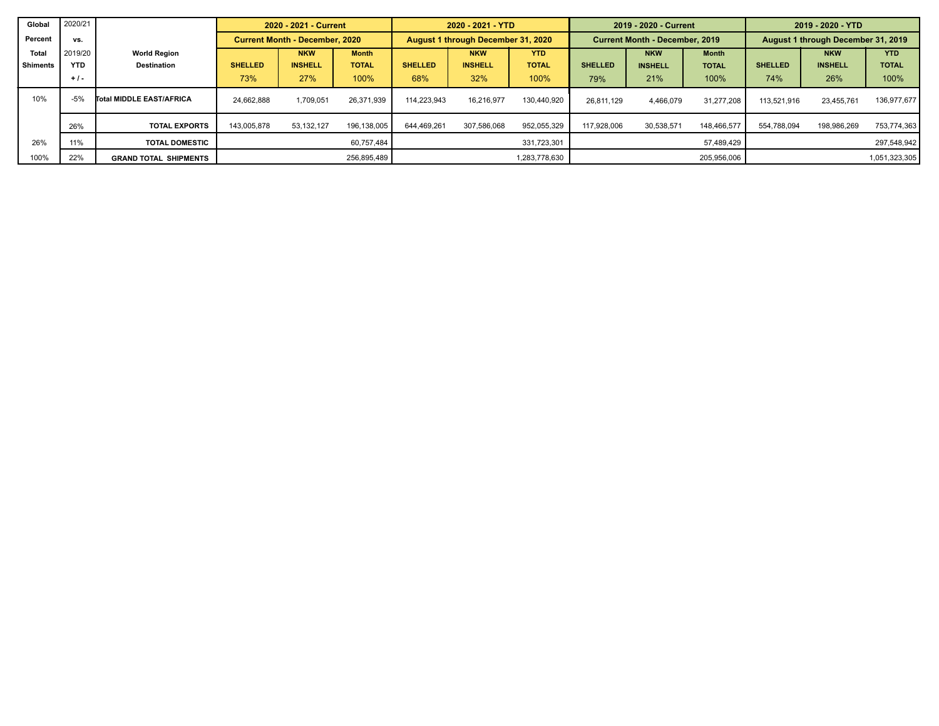| Global          | 2020/21    |                              |                | 2020 - 2021 - Current                 |              |                | 2020 - 2021 - YTD                  |               |                | 2019 - 2020 - Current                 |              | 2019 - 2020 - YTD |                                    |               |
|-----------------|------------|------------------------------|----------------|---------------------------------------|--------------|----------------|------------------------------------|---------------|----------------|---------------------------------------|--------------|-------------------|------------------------------------|---------------|
| Percent         | VS.        |                              |                | <b>Current Month - December, 2020</b> |              |                | August 1 through December 31, 2020 |               |                | <b>Current Month - December, 2019</b> |              |                   | August 1 through December 31, 2019 |               |
| <b>Total</b>    | 2019/20    | <b>World Region</b>          |                | <b>NKW</b>                            | <b>Month</b> |                | <b>NKW</b>                         | <b>YTD</b>    |                | <b>NKW</b>                            | <b>Month</b> |                   | <b>NKW</b>                         | <b>YTD</b>    |
| <b>Shiments</b> | <b>YTD</b> | <b>Destination</b>           | <b>SHELLED</b> | <b>INSHELL</b>                        | <b>TOTAL</b> | <b>SHELLED</b> | <b>INSHELL</b>                     | <b>TOTAL</b>  | <b>SHELLED</b> | <b>INSHELL</b>                        | <b>TOTAL</b> | <b>SHELLED</b>    | <b>INSHELL</b>                     | <b>TOTAL</b>  |
|                 | $+1$ .     |                              | 73%            | 27%                                   | 100%         | 68%            | 32%                                | 100%          | 79%            | 21%                                   | 100%         | 74%               | 26%                                | 100%          |
| 10%             | $-5%$      | Total MIDDLE EAST/AFRICA     | 24.662.888     | 1.709.051                             | 26.371.939   | 114.223.943    | 16.216.977                         | 130.440.920   | 26.811.129     | 4.466.079                             | 31.277.208   | 113.521.916       | 23.455.761                         | 136,977,677   |
|                 | 26%        | <b>TOTAL EXPORTS</b>         | 143.005.878    | 53.132.127                            | 196.138.005  | 644,469,261    | 307,586,068                        | 952,055,329   | 117.928.006    | 30.538.571                            | 148.466.577  | 554.788.094       | 198.986.269                        | 753,774,363   |
| 26%             | 11%        | <b>TOTAL DOMESTIC</b>        |                |                                       | 60.757.484   |                |                                    | 331,723,301   |                |                                       | 57.489.429   |                   |                                    | 297,548,942   |
| 100%            | 22%        | <b>GRAND TOTAL SHIPMENTS</b> |                |                                       | 256,895,489  |                |                                    | 1,283,778,630 |                |                                       | 205,956,006  |                   |                                    | 1,051,323,305 |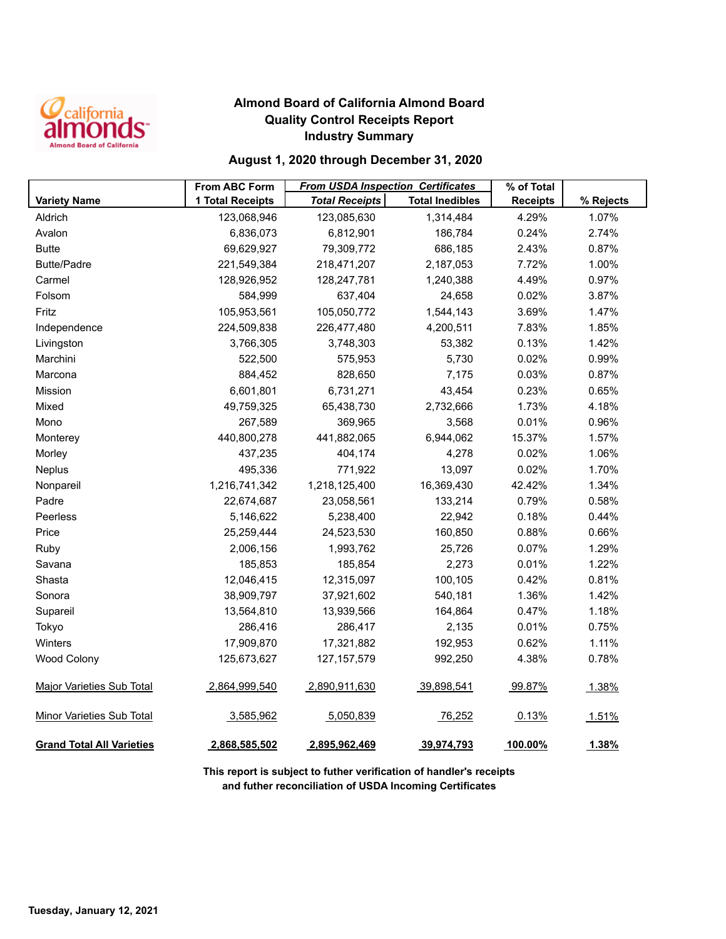

## **Almond Board of California Almond Board Quality Control Receipts Report Industry Summary**

## **August 1, 2020 through December 31, 2020**

|                                  | <b>From ABC Form</b> | <b>From USDA Inspection Certificates</b> |                        | % of Total      |           |
|----------------------------------|----------------------|------------------------------------------|------------------------|-----------------|-----------|
| <b>Variety Name</b>              | 1 Total Receipts     | <b>Total Receipts</b>                    | <b>Total Inedibles</b> | <b>Receipts</b> | % Rejects |
| Aldrich                          | 123,068,946          | 123,085,630                              | 1,314,484              | 4.29%           | 1.07%     |
| Avalon                           | 6,836,073            | 6,812,901                                | 186,784                | 0.24%           | 2.74%     |
| <b>Butte</b>                     | 69,629,927           | 79,309,772                               | 686,185                | 2.43%           | 0.87%     |
| <b>Butte/Padre</b>               | 221,549,384          | 218,471,207                              | 2,187,053              | 7.72%           | 1.00%     |
| Carmel                           | 128,926,952          | 128,247,781                              | 1,240,388              | 4.49%           | 0.97%     |
| Folsom                           | 584,999              | 637,404                                  | 24,658                 | 0.02%           | 3.87%     |
| Fritz                            | 105,953,561          | 105,050,772                              | 1,544,143              | 3.69%           | 1.47%     |
| Independence                     | 224,509,838          | 226,477,480                              | 4,200,511              | 7.83%           | 1.85%     |
| Livingston                       | 3,766,305            | 3,748,303                                | 53,382                 | 0.13%           | 1.42%     |
| Marchini                         | 522,500              | 575,953                                  | 5,730                  | 0.02%           | 0.99%     |
| Marcona                          | 884,452              | 828,650                                  | 7,175                  | 0.03%           | 0.87%     |
| Mission                          | 6,601,801            | 6,731,271                                | 43,454                 | 0.23%           | 0.65%     |
| Mixed                            | 49,759,325           | 65,438,730                               | 2,732,666              | 1.73%           | 4.18%     |
| Mono                             | 267,589              | 369,965                                  | 3,568                  | 0.01%           | 0.96%     |
| Monterey                         | 440,800,278          | 441,882,065                              | 6,944,062              | 15.37%          | 1.57%     |
| Morley                           | 437,235              | 404,174                                  | 4,278                  | 0.02%           | 1.06%     |
| Neplus                           | 495,336              | 771,922                                  | 13,097                 | 0.02%           | 1.70%     |
| Nonpareil                        | 1,216,741,342        | 1,218,125,400                            | 16,369,430             | 42.42%          | 1.34%     |
| Padre                            | 22,674,687           | 23,058,561                               | 133,214                | 0.79%           | 0.58%     |
| Peerless                         | 5,146,622            | 5,238,400                                | 22,942                 | 0.18%           | 0.44%     |
| Price                            | 25,259,444           | 24,523,530                               | 160,850                | 0.88%           | 0.66%     |
| Ruby                             | 2,006,156            | 1,993,762                                | 25,726                 | 0.07%           | 1.29%     |
| Savana                           | 185,853              | 185,854                                  | 2,273                  | 0.01%           | 1.22%     |
| Shasta                           | 12,046,415           | 12,315,097                               | 100,105                | 0.42%           | 0.81%     |
| Sonora                           | 38,909,797           | 37,921,602                               | 540,181                | 1.36%           | 1.42%     |
| Supareil                         | 13,564,810           | 13,939,566                               | 164,864                | 0.47%           | 1.18%     |
| Tokyo                            | 286,416              | 286,417                                  | 2,135                  | 0.01%           | 0.75%     |
| Winters                          | 17,909,870           | 17,321,882                               | 192,953                | 0.62%           | 1.11%     |
| <b>Wood Colony</b>               | 125,673,627          | 127, 157, 579                            | 992,250                | 4.38%           | 0.78%     |
| <b>Major Varieties Sub Total</b> | 2,864,999,540        | 2,890,911,630                            | 39,898,541             | 99.87%          | 1.38%     |
| <b>Minor Varieties Sub Total</b> | 3,585,962            | 5,050,839                                | 76,252                 | 0.13%           | 1.51%     |
| <b>Grand Total All Varieties</b> | 2,868,585,502        | 2,895,962,469                            | 39,974,793             | 100.00%         | 1.38%     |

**This report is subject to futher verification of handler's receipts and futher reconciliation of USDA Incoming Certificates**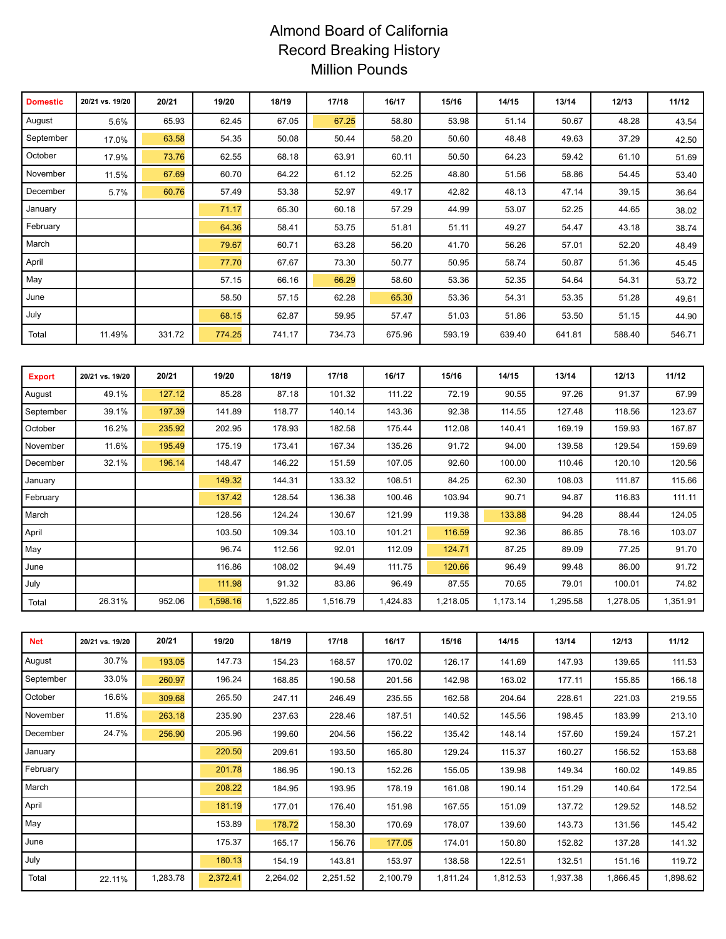# Almond Board of California Record Breaking History Million Pounds

| <b>Domestic</b> | 20/21 vs. 19/20 | 20/21  | 19/20  | 18/19  | 17/18  | 16/17  | 15/16  | 14/15  | 13/14  | 12/13  | 11/12  |
|-----------------|-----------------|--------|--------|--------|--------|--------|--------|--------|--------|--------|--------|
| August          | 5.6%            | 65.93  | 62.45  | 67.05  | 67.25  | 58.80  | 53.98  | 51.14  | 50.67  | 48.28  | 43.54  |
| September       | 17.0%           | 63.58  | 54.35  | 50.08  | 50.44  | 58.20  | 50.60  | 48.48  | 49.63  | 37.29  | 42.50  |
| October         | 17.9%           | 73.76  | 62.55  | 68.18  | 63.91  | 60.11  | 50.50  | 64.23  | 59.42  | 61.10  | 51.69  |
| November        | 11.5%           | 67.69  | 60.70  | 64.22  | 61.12  | 52.25  | 48.80  | 51.56  | 58.86  | 54.45  | 53.40  |
| December        | 5.7%            | 60.76  | 57.49  | 53.38  | 52.97  | 49.17  | 42.82  | 48.13  | 47.14  | 39.15  | 36.64  |
| January         |                 |        | 71.17  | 65.30  | 60.18  | 57.29  | 44.99  | 53.07  | 52.25  | 44.65  | 38.02  |
| February        |                 |        | 64.36  | 58.41  | 53.75  | 51.81  | 51.11  | 49.27  | 54.47  | 43.18  | 38.74  |
| March           |                 |        | 79.67  | 60.71  | 63.28  | 56.20  | 41.70  | 56.26  | 57.01  | 52.20  | 48.49  |
| April           |                 |        | 77.70  | 67.67  | 73.30  | 50.77  | 50.95  | 58.74  | 50.87  | 51.36  | 45.45  |
| May             |                 |        | 57.15  | 66.16  | 66.29  | 58.60  | 53.36  | 52.35  | 54.64  | 54.31  | 53.72  |
| June            |                 |        | 58.50  | 57.15  | 62.28  | 65.30  | 53.36  | 54.31  | 53.35  | 51.28  | 49.61  |
| July            |                 |        | 68.15  | 62.87  | 59.95  | 57.47  | 51.03  | 51.86  | 53.50  | 51.15  | 44.90  |
| Total           | 11.49%          | 331.72 | 774.25 | 741.17 | 734.73 | 675.96 | 593.19 | 639.40 | 641.81 | 588.40 | 546.71 |

| <b>Export</b> | 20/21 vs. 19/20 | 20/21  | 19/20    | 18/19    | 17/18    | 16/17    | 15/16    | 14/15    | 13/14    | 12/13    | 11/12    |
|---------------|-----------------|--------|----------|----------|----------|----------|----------|----------|----------|----------|----------|
| August        | 49.1%           | 127.12 | 85.28    | 87.18    | 101.32   | 111.22   | 72.19    | 90.55    | 97.26    | 91.37    | 67.99    |
| September     | 39.1%           | 197.39 | 141.89   | 118.77   | 140.14   | 143.36   | 92.38    | 114.55   | 127.48   | 118.56   | 123.67   |
| October       | 16.2%           | 235.92 | 202.95   | 178.93   | 182.58   | 175.44   | 112.08   | 140.41   | 169.19   | 159.93   | 167.87   |
| November      | 11.6%           | 195.49 | 175.19   | 173.41   | 167.34   | 135.26   | 91.72    | 94.00    | 139.58   | 129.54   | 159.69   |
| December      | 32.1%           | 196.14 | 148.47   | 146.22   | 151.59   | 107.05   | 92.60    | 100.00   | 110.46   | 120.10   | 120.56   |
| January       |                 |        | 149.32   | 144.31   | 133.32   | 108.51   | 84.25    | 62.30    | 108.03   | 111.87   | 115.66   |
| February      |                 |        | 137.42   | 128.54   | 136.38   | 100.46   | 103.94   | 90.71    | 94.87    | 116.83   | 111.11   |
| March         |                 |        | 128.56   | 124.24   | 130.67   | 121.99   | 119.38   | 133.88   | 94.28    | 88.44    | 124.05   |
| April         |                 |        | 103.50   | 109.34   | 103.10   | 101.21   | 116.59   | 92.36    | 86.85    | 78.16    | 103.07   |
| May           |                 |        | 96.74    | 112.56   | 92.01    | 112.09   | 124.71   | 87.25    | 89.09    | 77.25    | 91.70    |
| June          |                 |        | 116.86   | 108.02   | 94.49    | 111.75   | 120.66   | 96.49    | 99.48    | 86.00    | 91.72    |
| July          |                 |        | 111.98   | 91.32    | 83.86    | 96.49    | 87.55    | 70.65    | 79.01    | 100.01   | 74.82    |
| Total         | 26.31%          | 952.06 | 1,598.16 | 1,522.85 | 1,516.79 | 1,424.83 | 1,218.05 | 1,173.14 | 1,295.58 | 1,278.05 | 1,351.91 |

| <b>Net</b> | 20/21 vs. 19/20 | 20/21    | 19/20    | 18/19    | 17/18    | 16/17    | 15/16    | 14/15    | 13/14    | 12/13    | 11/12    |
|------------|-----------------|----------|----------|----------|----------|----------|----------|----------|----------|----------|----------|
| August     | 30.7%           | 193.05   | 147.73   | 154.23   | 168.57   | 170.02   | 126.17   | 141.69   | 147.93   | 139.65   | 111.53   |
| September  | 33.0%           | 260.97   | 196.24   | 168.85   | 190.58   | 201.56   | 142.98   | 163.02   | 177.11   | 155.85   | 166.18   |
| October    | 16.6%           | 309.68   | 265.50   | 247.11   | 246.49   | 235.55   | 162.58   | 204.64   | 228.61   | 221.03   | 219.55   |
| November   | 11.6%           | 263.18   | 235.90   | 237.63   | 228.46   | 187.51   | 140.52   | 145.56   | 198.45   | 183.99   | 213.10   |
| December   | 24.7%           | 256.90   | 205.96   | 199.60   | 204.56   | 156.22   | 135.42   | 148.14   | 157.60   | 159.24   | 157.21   |
| January    |                 |          | 220.50   | 209.61   | 193.50   | 165.80   | 129.24   | 115.37   | 160.27   | 156.52   | 153.68   |
| February   |                 |          | 201.78   | 186.95   | 190.13   | 152.26   | 155.05   | 139.98   | 149.34   | 160.02   | 149.85   |
| March      |                 |          | 208.22   | 184.95   | 193.95   | 178.19   | 161.08   | 190.14   | 151.29   | 140.64   | 172.54   |
| April      |                 |          | 181.19   | 177.01   | 176.40   | 151.98   | 167.55   | 151.09   | 137.72   | 129.52   | 148.52   |
| May        |                 |          | 153.89   | 178.72   | 158.30   | 170.69   | 178.07   | 139.60   | 143.73   | 131.56   | 145.42   |
| June       |                 |          | 175.37   | 165.17   | 156.76   | 177.05   | 174.01   | 150.80   | 152.82   | 137.28   | 141.32   |
| July       |                 |          | 180.13   | 154.19   | 143.81   | 153.97   | 138.58   | 122.51   | 132.51   | 151.16   | 119.72   |
| Total      | 22.11%          | 1,283.78 | 2,372.41 | 2,264.02 | 2,251.52 | 2,100.79 | 1,811.24 | 1,812.53 | 1,937.38 | 1,866.45 | 1,898.62 |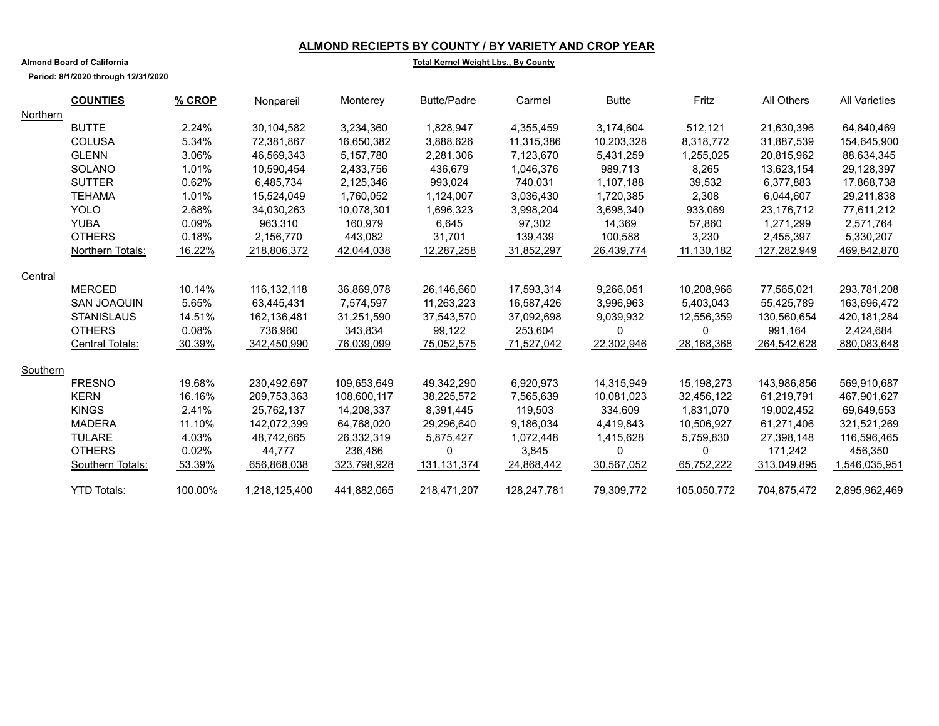### **ALMOND RECIEPTS BY COUNTY / BY VARIETY AND CROP YEAR**

**Almond Board of California**

**Period: 8/1/2020 through 12/31/2020**

#### **Total Kernel Weight Lbs., By County**

|          | <b>COUNTIES</b>    | $%$ CROP | Nonpareil     | Monterey    | <b>Butte/Padre</b> | Carmel      | <b>Butte</b> | Fritz       | All Others  | <b>All Varieties</b> |
|----------|--------------------|----------|---------------|-------------|--------------------|-------------|--------------|-------------|-------------|----------------------|
| Northern |                    |          |               |             |                    |             |              |             |             |                      |
|          | <b>BUTTE</b>       | 2.24%    | 30,104,582    | 3,234,360   | 1,828,947          | 4,355,459   | 3,174,604    | 512,121     | 21.630.396  | 64,840,469           |
|          | <b>COLUSA</b>      | 5.34%    | 72,381,867    | 16,650,382  | 3,888,626          | 11,315,386  | 10,203,328   | 8,318,772   | 31,887,539  | 154,645,900          |
|          | <b>GLENN</b>       | 3.06%    | 46,569,343    | 5,157,780   | 2,281,306          | 7,123,670   | 5,431,259    | 1,255,025   | 20,815,962  | 88,634,345           |
|          | <b>SOLANO</b>      | 1.01%    | 10,590,454    | 2,433,756   | 436,679            | 1,046,376   | 989,713      | 8,265       | 13,623,154  | 29,128,397           |
|          | <b>SUTTER</b>      | 0.62%    | 6,485,734     | 2,125,346   | 993,024            | 740,031     | 1,107,188    | 39,532      | 6,377,883   | 17,868,738           |
|          | <b>TEHAMA</b>      | 1.01%    | 15,524,049    | 1,760,052   | 1,124,007          | 3,036,430   | 1,720,385    | 2,308       | 6,044,607   | 29,211,838           |
|          | <b>YOLO</b>        | 2.68%    | 34,030,263    | 10,078,301  | 1,696,323          | 3,998,204   | 3,698,340    | 933,069     | 23,176,712  | 77,611,212           |
|          | <b>YUBA</b>        | 0.09%    | 963,310       | 160,979     | 6,645              | 97,302      | 14,369       | 57,860      | 1,271,299   | 2,571,764            |
|          | <b>OTHERS</b>      | 0.18%    | 2,156,770     | 443,082     | 31,701             | 139,439     | 100,588      | 3,230       | 2,455,397   | 5,330,207            |
|          | Northern Totals:   | 16.22%   | 218,806,372   | 42,044,038  | 12,287,258         | 31,852,297  | 26,439,774   | 11,130,182  | 127,282,949 | 469,842,870          |
| Central  |                    |          |               |             |                    |             |              |             |             |                      |
|          | <b>MERCED</b>      | 10.14%   | 116, 132, 118 | 36,869,078  | 26,146,660         | 17,593,314  | 9,266,051    | 10,208,966  | 77,565,021  | 293,781,208          |
|          | <b>SAN JOAQUIN</b> | 5.65%    | 63.445.431    | 7.574.597   | 11.263.223         | 16.587.426  | 3.996.963    | 5.403.043   | 55.425.789  | 163,696,472          |
|          | <b>STANISLAUS</b>  | 14.51%   | 162,136,481   | 31,251,590  | 37,543,570         | 37,092,698  | 9,039,932    | 12,556,359  | 130,560,654 | 420,181,284          |
|          | <b>OTHERS</b>      | 0.08%    | 736,960       | 343.834     | 99,122             | 253,604     | $\mathbf{0}$ | 0           | 991.164     | 2,424,684            |
|          | Central Totals:    | 30.39%   | 342,450,990   | 76,039,099  | 75,052,575         | 71,527,042  | 22,302,946   | 28,168,368  | 264,542,628 | 880,083,648          |
| Southern |                    |          |               |             |                    |             |              |             |             |                      |
|          | <b>FRESNO</b>      | 19.68%   | 230,492,697   | 109,653,649 | 49,342,290         | 6,920,973   | 14,315,949   | 15,198,273  | 143,986,856 | 569,910,687          |
|          | <b>KERN</b>        | 16.16%   | 209,753,363   | 108,600,117 | 38,225,572         | 7,565,639   | 10,081,023   | 32,456,122  | 61,219,791  | 467,901,627          |
|          | <b>KINGS</b>       | 2.41%    | 25,762,137    | 14,208,337  | 8.391.445          | 119.503     | 334,609      | 1.831.070   | 19.002.452  | 69,649,553           |
|          | <b>MADERA</b>      | 11.10%   | 142,072,399   | 64,768,020  | 29,296,640         | 9,186,034   | 4,419,843    | 10,506,927  | 61,271,406  | 321,521,269          |
|          | <b>TULARE</b>      | 4.03%    | 48,742,665    | 26,332,319  | 5,875,427          | 1,072,448   | 1,415,628    | 5,759,830   | 27,398,148  | 116,596,465          |
|          | <b>OTHERS</b>      | 0.02%    | 44.777        | 236,486     | $\Omega$           | 3,845       | $\Omega$     | 0           | 171.242     | 456,350              |
|          | Southern Totals:   | 53.39%   | 656,868,038   | 323,798,928 | 131, 131, 374      | 24,868,442  | 30,567,052   | 65,752,222  | 313,049,895 | 1,546,035,951        |
|          | <b>YTD Totals:</b> | 100.00%  | 1,218,125,400 | 441,882,065 | 218.471.207        | 128,247,781 | 79,309,772   | 105.050.772 | 704.875.472 | 2.895.962.469        |